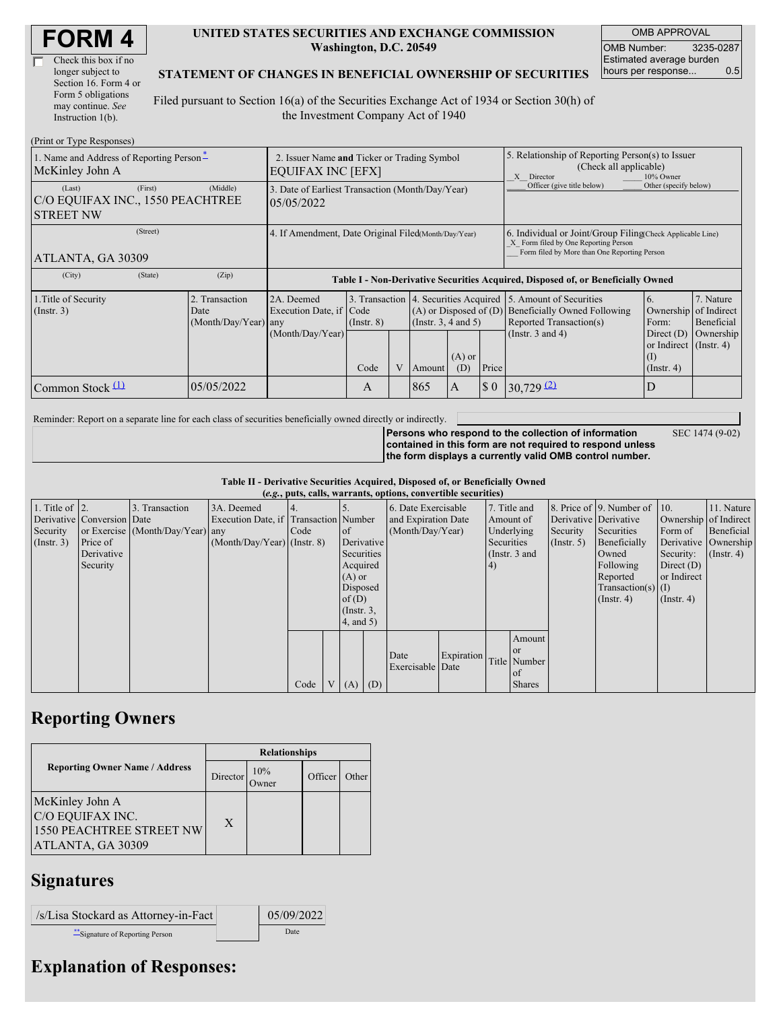| <b>FORM4</b> |
|--------------|
|--------------|

| Check this box if no  |
|-----------------------|
| longer subject to     |
| Section 16. Form 4 or |
| Form 5 obligations    |
| may continue. See     |
| Instruction $1(b)$ .  |

#### **UNITED STATES SECURITIES AND EXCHANGE COMMISSION Washington, D.C. 20549**

OMB APPROVAL OMB Number: 3235-0287 Estimated average burden hours per response... 0.5

#### **STATEMENT OF CHANGES IN BENEFICIAL OWNERSHIP OF SECURITIES**

Filed pursuant to Section 16(a) of the Securities Exchange Act of 1934 or Section 30(h) of the Investment Company Act of 1940

| (Print or Type Responses)                                                 |                                                                         |                                                                                  |                 |  |                                                                                            |                 |                                                                                                                                                    |                                                                                     |                                                                  |                         |
|---------------------------------------------------------------------------|-------------------------------------------------------------------------|----------------------------------------------------------------------------------|-----------------|--|--------------------------------------------------------------------------------------------|-----------------|----------------------------------------------------------------------------------------------------------------------------------------------------|-------------------------------------------------------------------------------------|------------------------------------------------------------------|-------------------------|
| 1. Name and Address of Reporting Person-<br>McKinley John A               | 2. Issuer Name and Ticker or Trading Symbol<br><b>EQUIFAX INC [EFX]</b> |                                                                                  |                 |  |                                                                                            |                 | 5. Relationship of Reporting Person(s) to Issuer<br>(Check all applicable)<br>X Director<br>10% Owner                                              |                                                                                     |                                                                  |                         |
| (Last)<br>(First)<br>C/O EQUIFAX INC., 1550 PEACHTREE<br><b>STREET NW</b> | (Middle)                                                                | 3. Date of Earliest Transaction (Month/Day/Year)<br>05/05/2022                   |                 |  |                                                                                            |                 |                                                                                                                                                    | Officer (give title below)                                                          | Other (specify below)                                            |                         |
| (Street)<br>ATLANTA, GA 30309                                             | 4. If Amendment, Date Original Filed Month/Day/Year)                    |                                                                                  |                 |  |                                                                                            |                 | 6. Individual or Joint/Group Filing(Check Applicable Line)<br>X Form filed by One Reporting Person<br>Form filed by More than One Reporting Person |                                                                                     |                                                                  |                         |
| (State)<br>(City)                                                         | (Zip)                                                                   | Table I - Non-Derivative Securities Acquired, Disposed of, or Beneficially Owned |                 |  |                                                                                            |                 |                                                                                                                                                    |                                                                                     |                                                                  |                         |
| 1. Title of Security<br>$($ Instr. 3 $)$                                  | 2. Transaction<br>Date<br>$(Month/Day/Year)$ any                        | 2A. Deemed<br>Execution Date, if Code                                            | $($ Instr. $8)$ |  | 3. Transaction 4. Securities Acquired<br>$(A)$ or Disposed of $(D)$<br>(Instr. 3, 4 and 5) |                 |                                                                                                                                                    | 15. Amount of Securities<br>Beneficially Owned Following<br>Reported Transaction(s) | 6.<br>Ownership of Indirect<br>Form:                             | 7. Nature<br>Beneficial |
|                                                                           |                                                                         | (Month/Day/Year)                                                                 | Code            |  | Amount                                                                                     | $(A)$ or<br>(D) | Price                                                                                                                                              | (Instr. $3$ and $4$ )                                                               | Direct $(D)$<br>or Indirect $($ Instr. 4 $)$<br>$($ Instr. 4 $)$ | Ownership               |
| Common Stock (1)                                                          | 05/05/2022                                                              |                                                                                  | A               |  | 865                                                                                        | A               | $\sqrt{3}0$                                                                                                                                        | $30,729$ (2)                                                                        | D                                                                |                         |

Reminder: Report on a separate line for each class of securities beneficially owned directly or indirectly.

SEC 1474 (9-02)

**Persons who respond to the collection of information contained in this form are not required to respond unless the form displays a currently valid OMB control number.**

**Table II - Derivative Securities Acquired, Disposed of, or Beneficially Owned**

| (e.g., puts, calls, warrants, options, convertible securities) |                            |                                  |                                       |      |  |                 |                     |                          |            |            |               |                       |                              |                  |                      |
|----------------------------------------------------------------|----------------------------|----------------------------------|---------------------------------------|------|--|-----------------|---------------------|--------------------------|------------|------------|---------------|-----------------------|------------------------------|------------------|----------------------|
| 1. Title of $\vert$ 2.                                         |                            | 3. Transaction                   | 3A. Deemed                            |      |  |                 |                     | 6. Date Exercisable      |            |            | 7. Title and  |                       | 8. Price of 9. Number of 10. |                  | 11. Nature           |
|                                                                | Derivative Conversion Date |                                  | Execution Date, if Transaction Number |      |  |                 | and Expiration Date |                          |            | Amount of  |               | Derivative Derivative | Ownership of Indirect        |                  |                      |
| Security                                                       |                            | or Exercise (Month/Day/Year) any |                                       | Code |  | $\circ$ f       |                     | (Month/Day/Year)         |            | Underlying |               | Security              | Securities                   | Form of          | Beneficial           |
| $($ Instr. 3 $)$                                               | Price of                   |                                  | $(Month/Day/Year)$ (Instr. 8)         |      |  | Derivative      |                     |                          |            | Securities |               | $($ Instr. 5 $)$      | Beneficially                 |                  | Derivative Ownership |
|                                                                | Derivative                 |                                  |                                       |      |  | Securities      |                     |                          |            |            | (Instr. 3 and |                       | Owned                        | Security:        | $($ Instr. 4 $)$     |
|                                                                | Security                   |                                  |                                       |      |  | Acquired        |                     |                          |            | (4)        |               |                       | Following                    | Direct $(D)$     |                      |
|                                                                |                            |                                  |                                       |      |  | $(A)$ or        |                     |                          |            |            |               |                       | Reported                     | or Indirect      |                      |
|                                                                |                            |                                  |                                       |      |  | Disposed        |                     |                          |            |            |               |                       | $Transaction(s)$ (I)         |                  |                      |
|                                                                |                            |                                  |                                       |      |  | of $(D)$        |                     |                          |            |            |               |                       | $($ Instr. 4 $)$             | $($ Instr. 4 $)$ |                      |
|                                                                |                            |                                  |                                       |      |  | $($ Instr. $3,$ |                     |                          |            |            |               |                       |                              |                  |                      |
|                                                                |                            |                                  |                                       |      |  | 4, and 5)       |                     |                          |            |            |               |                       |                              |                  |                      |
|                                                                |                            |                                  |                                       |      |  |                 |                     |                          |            |            | Amount        |                       |                              |                  |                      |
|                                                                |                            |                                  |                                       |      |  |                 |                     |                          |            |            | <b>or</b>     |                       |                              |                  |                      |
|                                                                |                            |                                  |                                       |      |  |                 |                     | Date<br>Exercisable Date | Expiration |            | Title Number  |                       |                              |                  |                      |
|                                                                |                            |                                  |                                       |      |  |                 |                     |                          |            |            | of            |                       |                              |                  |                      |
|                                                                |                            |                                  |                                       | Code |  | $(A)$ $(D)$     |                     |                          |            |            | <b>Shares</b> |                       |                              |                  |                      |

## **Reporting Owners**

|                                                                                             | <b>Relationships</b> |                      |         |       |  |  |  |  |
|---------------------------------------------------------------------------------------------|----------------------|----------------------|---------|-------|--|--|--|--|
| <b>Reporting Owner Name / Address</b>                                                       | Director             | 10%<br><b>)</b> wner | Officer | Other |  |  |  |  |
| McKinley John A<br>C/O EQUIFAX INC.<br><b>1550 PEACHTREE STREET NW</b><br>ATLANTA, GA 30309 | X                    |                      |         |       |  |  |  |  |

## **Signatures**

| /s/Lisa Stockard as Attorney-in-Fact | 05/09/2022 |
|--------------------------------------|------------|
| Signature of Reporting Person        | Date       |

# **Explanation of Responses:**